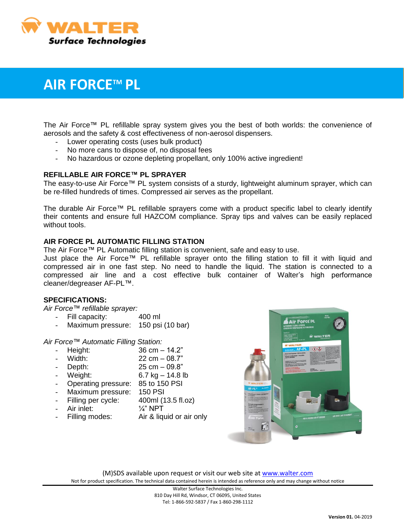

# **AIR FORCETM PL**

The Air Force™ PL refillable spray system gives you the best of both worlds: the convenience of aerosols and the safety & cost effectiveness of non-aerosol dispensers.

- Lower operating costs (uses bulk product)
- No more cans to dispose of, no disposal fees
- No hazardous or ozone depleting propellant, only 100% active ingredient!

### **REFILLABLE AIR FORCE™ PL SPRAYER**

The easy-to-use Air Force™ PL system consists of a sturdy, lightweight aluminum sprayer, which can be re-filled hundreds of times. Compressed air serves as the propellant.

The durable Air Force™ PL refillable sprayers come with a product specific label to clearly identify their contents and ensure full HAZCOM compliance. Spray tips and valves can be easily replaced without tools.

### **AIR FORCE PL AUTOMATIC FILLING STATION**

The Air Force™ PL Automatic filling station is convenient, safe and easy to use.

Just place the Air Force™ PL refillable sprayer onto the filling station to fill it with liquid and compressed air in one fast step. No need to handle the liquid. The station is connected to a compressed air line and a cost effective bulk container of Walter's high performance cleaner/degreaser AF-PL™.

### **SPECIFICATIONS:**

*Air Force*™ *refillable sprayer:*

- Fill capacity: 400 ml
- Maximum pressure: 150 psi (10 bar)

*Air Force*™ *Automatic Filling Station:*

- Height: 36 cm 14.2"
- Width: 22 cm 08.7"
- Depth: 25 cm 09.8"
- Weight: 6.7 kg 14.8 lb
- Operating pressure: 85 to 150 PSI
- Maximum pressure: 150 PSI
- Filling per cycle: 400ml (13.5 fl.oz)
- Air inlet:  $\frac{1}{4}$ " NPT
- Filling modes: Air & liquid or air only



(M)SDS available upon request or visit our web site a[t www.walter.com](http://www.walter.com/) Not for product specification. The technical data contained herein is intended as reference only and may change without notice

> Walter Surface Technologies Inc. 810 Day Hill Rd, Windsor, CT 06095, United States Tel: 1-866-592-5837 / Fax 1-860-298-1112